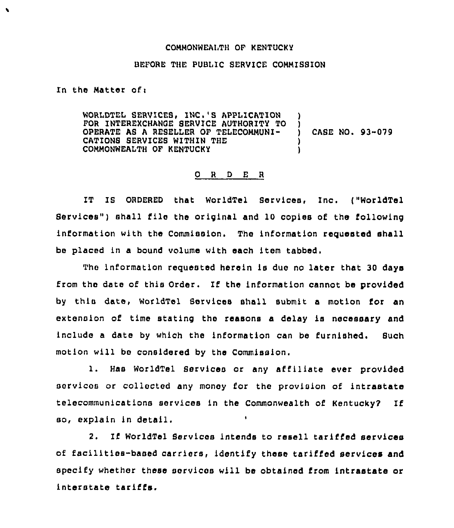## COMMONWEAITH OF KENTUCKY

## BEFORE THE PUBLIC SERVICE COMMISSION

In the Matter of $<sub>1</sub>$ </sub>

 $\lambda$ 

WORLDTEL SERVICES, INC.'S APPLICATION FOR INTEREXCHANGE SERVICE AUTHORITY TO )<br>OPERATE AS A RESELLER OF TELECOMMUNI-OPERATE A8 <sup>A</sup> RESELLER OF TELECOMMUNI- ) CASE NO. 93-079 CATIONS SERVICES WITHIN THE COMMONWEALTH OF KENTUCKY )

## O R D E R

IT IS ORDERED that WorldTel Services, Inc. {"WorldTel Bervlces") shall file the original and 10 copies of the following information with the Commission. The information requested shall be placed in a bound volume with each item tabbed,

The information requested herein is due no later that 30 days from the date of this Order. If the information cannot be provided by thin date, WorldTel Services shall submit a motion for an extension of time stating the reasons a delay is necessary and include a data by which the information can be furnished, Such motion will be considered by the Commission.

1. Has WorldTel Services or any affiliate ever provided services or collected any money for the provision of intrastate telecommunications services in the Commonwealth of Kentucky7 If so, explain in detail.

2. If WorldTel Services intends to resell tariffed services of facilitios-based carriers, ldentlfy these tariffed services and specify whether these services will be obtained from intrastate or interstate tariffs.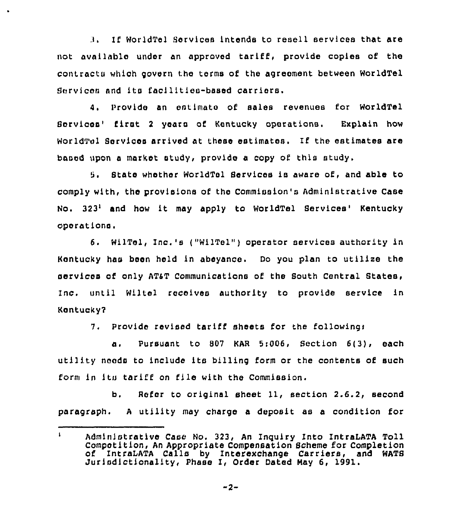If WorldTel Services intends to resell services that are not available under an approved tariff, provide copies of the contractu which govern the terms of the agreement between WorldTel Services and its facilities-based carriers.

4, Provide an estimate of sales revenues Eor WorldTel Scrvicea' first 2 years of Kentucky operations. Explain how WorldTel Services arrived at these estimates. If the estimates are based upon a market study, provide a copy of this study.

State whether WorldTel Services is aware of, and able to comply with, the provisions of the Commission's Administrative Case No.  $323<sup>1</sup>$  and how it may apply to WorldTel Services' Kentucky operations.

6. WilTel, Inc.'s ("WIITel") operator services authority ln Kentucky has been held in abeyance. Do you plan to utilize the services of only AT&T Communications of the South Central States, Inc. until Wlltel receives authority to provide service in Kentucky?

7. Provide revised tariff sheets Eor the followingr

a. Pursuant to <sup>807</sup> KAR 5i006, Section 6(3), each utility needs to include its billing form or the contents of such form in its tariff on file with the Commission.

b. Refer to orlglnal sheet 11, section 2.6.2, second paragraph. <sup>A</sup> utility may charge a deposit as a condition for

 $\mathbf{I}$ Administrative Case No. 323, An Inquiry Into IntraLATA Toll Compctltlon, An Appropriate Compensation Scheme for Completion of IntraLATA Calls by Interexchange Carriers, and WATS Jurisdictionality, Phase I, Order Dated Nay 6, 1991.